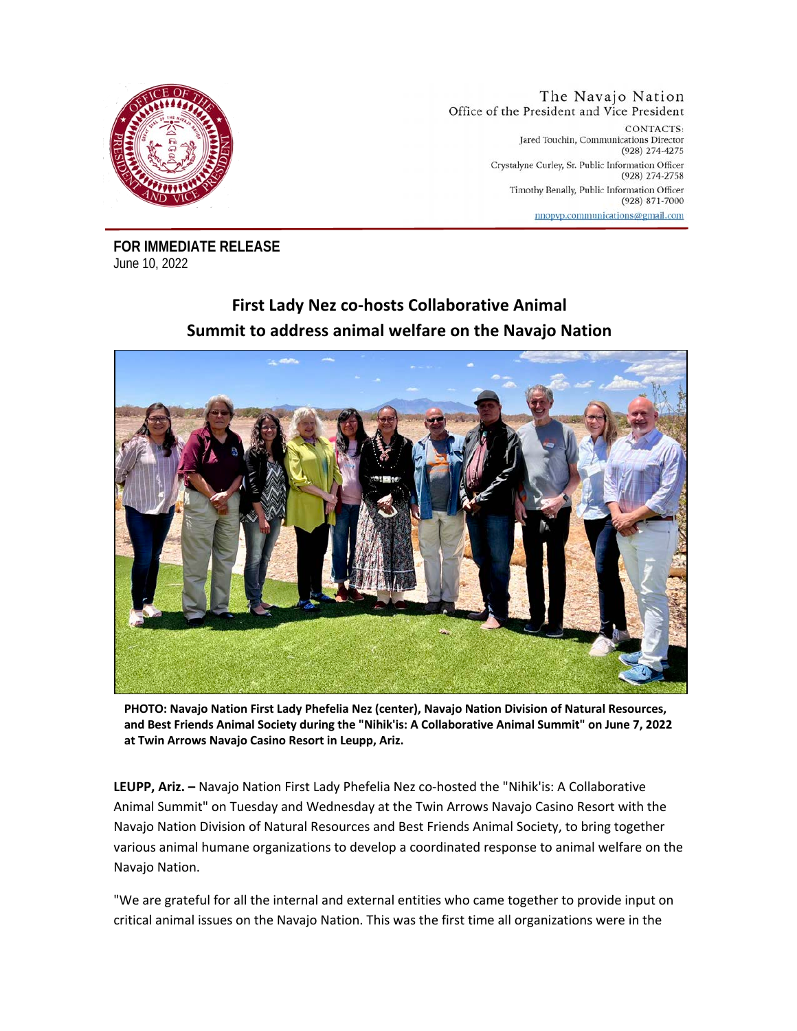

The Navajo Nation Office of the President and Vice President CONTACTS: Jared Touchin, Communications Director (928) 274-4275 Crystalyne Curley, Sr. Public Information Officer (928) 274-2758 Timothy Benally, Public Information Officer  $(928)$  871-7000 nnopvp.communications@gmail.com

**FOR IMMEDIATE RELEASE**  June 10, 2022

## **First Lady Nez co-hosts Collaborative Animal Summit to address animal welfare on the Navajo Nation**



**PHOTO: Navajo Nation First Lady Phefelia Nez (center), Navajo Nation Division of Natural Resources, and Best Friends Animal Society during the "Nihik'is: A Collaborative Animal Summit" on June 7, 2022 at Twin Arrows Navajo Casino Resort in Leupp, Ariz.** 

**LEUPP, Ariz. –** Navajo Nation First Lady Phefelia Nez co-hosted the "Nihik'is: A Collaborative Animal Summit" on Tuesday and Wednesday at the Twin Arrows Navajo Casino Resort with the Navajo Nation Division of Natural Resources and Best Friends Animal Society, to bring together various animal humane organizations to develop a coordinated response to animal welfare on the Navajo Nation.

"We are grateful for all the internal and external entities who came together to provide input on critical animal issues on the Navajo Nation. This was the first time all organizations were in the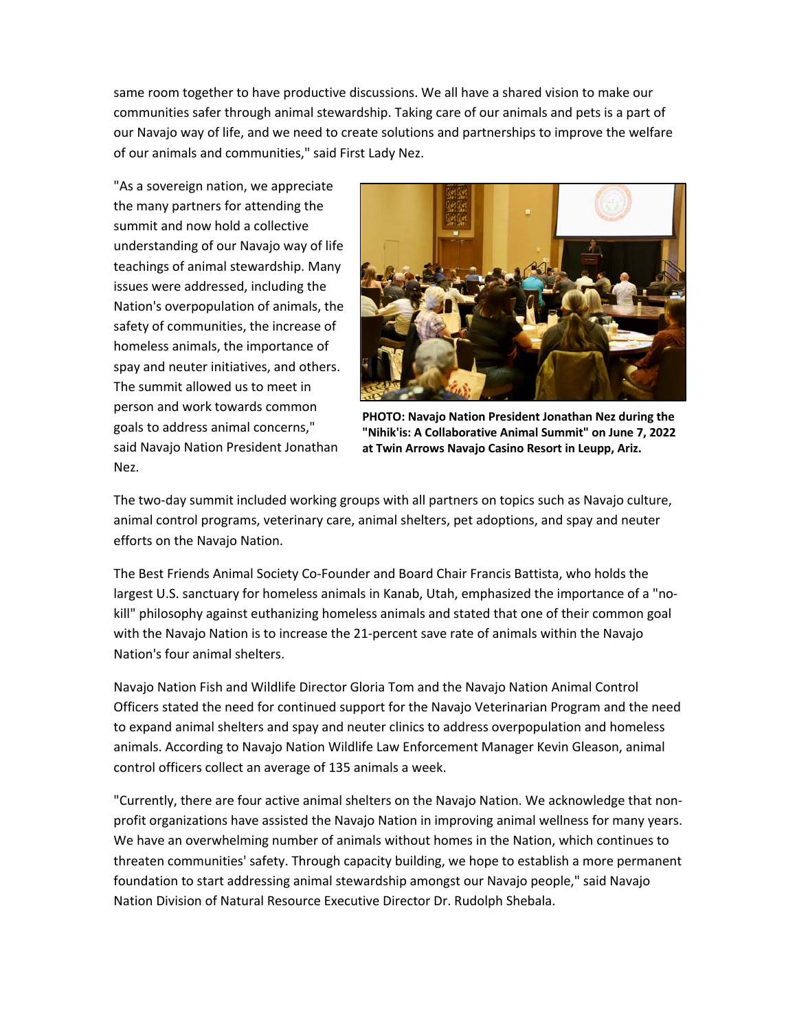same room together to have productive discussions. We all have a shared vision to make our communities safer through animal stewardship. Taking care of our animals and pets is a part of our Navajo way of life, and we need to create solutions and partnerships to improve the welfare of our animals and communities," said First Lady Nez.

"As a sovereign nation, we appreciate the many partners for attending the summit and now hold a collective understanding of our Navajo way of life teachings of animal stewardship. Many issues were addressed, including the Nation's overpopulation of animals, the safety of communities, the increase of homeless animals, the importance of spay and neuter initiatives, and others. The summit allowed us to meet in person and work towards common goals to address animal concerns," said Navajo Nation President Jonathan Nez.



**PHOTO: Navajo Nation President Jonathan Nez during the "Nihik'is: A Collaborative Animal Summit" on June 7, 2022 at Twin Arrows Navajo Casino Resort in Leupp, Ariz.**

The two-day summit included working groups with all partners on topics such as Navajo culture, animal control programs, veterinary care, animal shelters, pet adoptions, and spay and neuter efforts on the Navajo Nation.

The Best Friends Animal Society Co-Founder and Board Chair Francis Battista, who holds the largest U.S. sanctuary for homeless animals in Kanab, Utah, emphasized the importance of a "nokill" philosophy against euthanizing homeless animals and stated that one of their common goal with the Navajo Nation is to increase the 21-percent save rate of animals within the Navajo Nation's four animal shelters.

Navajo Nation Fish and Wildlife Director Gloria Tom and the Navajo Nation Animal Control Officers stated the need for continued support for the Navajo Veterinarian Program and the need to expand animal shelters and spay and neuter clinics to address overpopulation and homeless animals. According to Navajo Nation Wildlife Law Enforcement Manager Kevin Gleason, animal control officers collect an average of 135 animals a week.

"Currently, there are four active animal shelters on the Navajo Nation. We acknowledge that nonprofit organizations have assisted the Navajo Nation in improving animal wellness for many years. We have an overwhelming number of animals without homes in the Nation, which continues to threaten communities' safety. Through capacity building, we hope to establish a more permanent foundation to start addressing animal stewardship amongst our Navajo people," said Navajo Nation Division of Natural Resource Executive Director Dr. Rudolph Shebala.